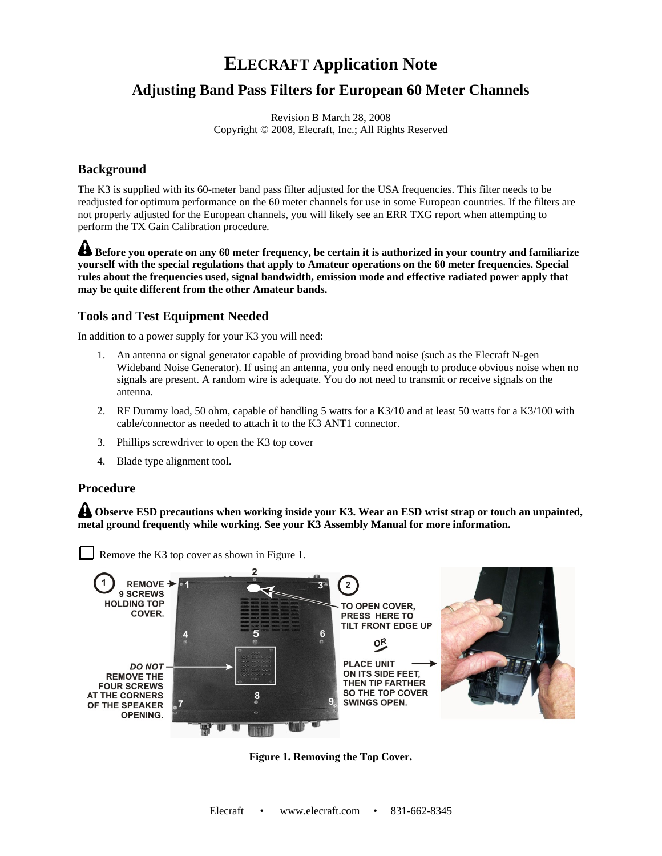# **ELECRAFT Application Note**

## **Adjusting Band Pass Filters for European 60 Meter Channels**

Revision B March 28, 2008 Copyright © 2008, Elecraft, Inc.; All Rights Reserved

### **Background**

The K3 is supplied with its 60-meter band pass filter adjusted for the USA frequencies. This filter needs to be readjusted for optimum performance on the 60 meter channels for use in some European countries. If the filters are not properly adjusted for the European channels, you will likely see an ERR TXG report when attempting to perform the TX Gain Calibration procedure.

 $\triangle$  Before you operate on any 60 meter frequency, be certain it is authorized in your country and familiarize **yourself with the special regulations that apply to Amateur operations on the 60 meter frequencies. Special rules about the frequencies used, signal bandwidth, emission mode and effective radiated power apply that may be quite different from the other Amateur bands.**

#### **Tools and Test Equipment Needed**

In addition to a power supply for your K3 you will need:

- 1. An antenna or signal generator capable of providing broad band noise (such as the Elecraft N-gen Wideband Noise Generator). If using an antenna, you only need enough to produce obvious noise when no signals are present. A random wire is adequate. You do not need to transmit or receive signals on the antenna.
- 2. RF Dummy load, 50 ohm, capable of handling 5 watts for a K3/10 and at least 50 watts for a K3/100 with cable/connector as needed to attach it to the K3 ANT1 connector.
- 3. Phillips screwdriver to open the K3 top cover
- 4. Blade type alignment tool.

#### **Procedure**

**A** Observe ESD precautions when working inside your K3. Wear an ESD wrist strap or touch an unpainted, **metal ground frequently while working. See your K3 Assembly Manual for more information.**



**Figure 1. Removing the Top Cover.**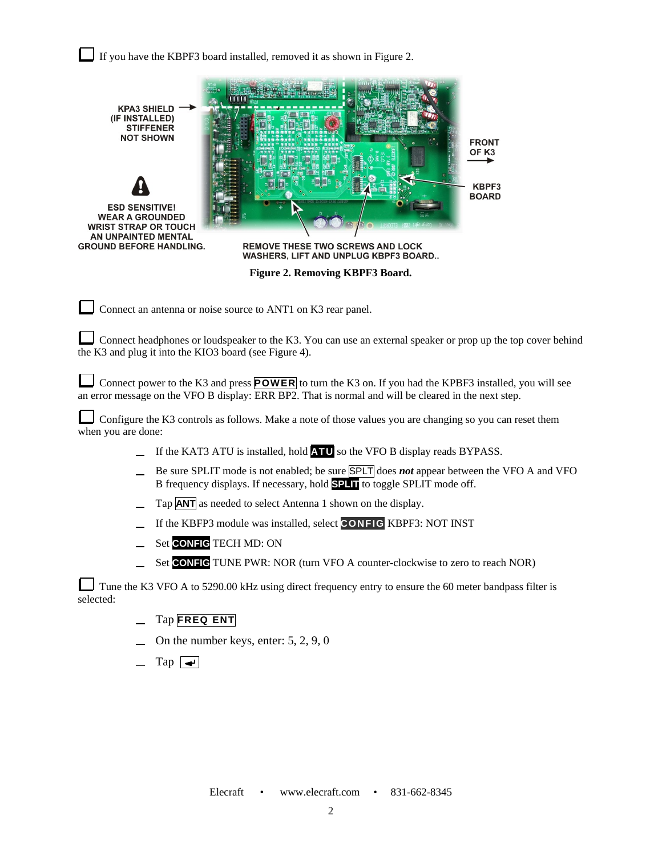If you have the KBPF3 board installed, removed it as shown in Figure 2.



Connect an antenna or noise source to ANT1 on K3 rear panel.

Connect headphones or loudspeaker to the K3. You can use an external speaker or prop up the top cover behind the K3 and plug it into the KIO3 board (see Figure 4).

Connect power to the K3 and press **POWER** to turn the K3 on. If you had the KPBF3 installed, you will see an error message on the VFO B display: ERR BP2. That is normal and will be cleared in the next step.

Configure the K3 controls as follows. Make a note of those values you are changing so you can reset them when you are done:

- If the KAT3 ATU is installed, hold **ATU** so the VFO B display reads BYPASS.
- Be sure SPLIT mode is not enabled; be sure SPLT does *not* appear between the VFO A and VFO B frequency displays. If necessary, hold **SPLIT** to toggle SPLIT mode off.
- Tap **ANT** as needed to select Antenna 1 shown on the display.
- If the KBFP3 module was installed, select **CONFIG** KBPF3: NOT INST
- Set **CONFIG** TECH MD: ON
- Set **CONFIG** TUNE PWR: NOR (turn VFO A counter-clockwise to zero to reach NOR)

Tune the K3 VFO A to 5290.00 kHz using direct frequency entry to ensure the 60 meter bandpass filter is selected:

- Tap **FREQ ENT**
- On the number keys, enter: 5, 2, 9, 0
- $\text{Tap}$   $\rightarrow$